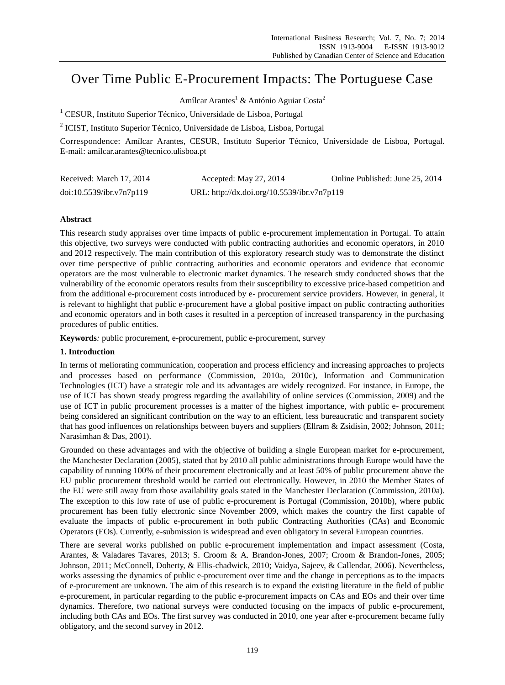# Over Time Public E-Procurement Impacts: The Portuguese Case

Am Icar Arantes<sup>1</sup> & António Aguiar Costa<sup>2</sup>

 $1$  CESUR, Instituto Superior Técnico, Universidade de Lisboa, Portugal

<sup>2</sup> ICIST, Instituto Superior Técnico, Universidade de Lisboa, Lisboa, Portugal

Correspondence: Amílcar Arantes, CESUR, Instituto Superior Técnico, Universidade de Lisboa, Portugal. E-mail: amilcar.arantes@tecnico.ulisboa.pt

| Received: March 17, 2014 | Accepted: May 27, 2014                      | Online Published: June 25, 2014 |
|--------------------------|---------------------------------------------|---------------------------------|
| doi:10.5539/ibr.v7n7p119 | URL: http://dx.doi.org/10.5539/ibr.v7n7p119 |                                 |

# **Abstract**

This research study appraises over time impacts of public e-procurement implementation in Portugal. To attain this objective, two surveys were conducted with public contracting authorities and economic operators, in 2010 and 2012 respectively. The main contribution of this exploratory research study was to demonstrate the distinct over time perspective of public contracting authorities and economic operators and evidence that economic operators are the most vulnerable to electronic market dynamics. The research study conducted shows that the vulnerability of the economic operators results from their susceptibility to excessive price-based competition and from the additional e-procurement costs introduced by e- procurement service providers. However, in general, it is relevant to highlight that public e-procurement have a global positive impact on public contracting authorities and economic operators and in both cases it resulted in a perception of increased transparency in the purchasing procedures of public entities.

**Keywords***:* public procurement, e-procurement, public e-procurement, survey

# **1. Introduction**

In terms of meliorating communication, cooperation and process efficiency and increasing approaches to projects and processes based on performance (Commission, 2010a, 2010c), Information and Communication Technologies (ICT) have a strategic role and its advantages are widely recognized. For instance, in Europe, the use of ICT has shown steady progress regarding the availability of online services (Commission, 2009) and the use of ICT in public procurement processes is a matter of the highest importance, with public e- procurement being considered an significant contribution on the way to an efficient, less bureaucratic and transparent society that has good influences on relationships between buyers and suppliers (Ellram & Zsidisin, 2002; Johnson, 2011; Narasimhan & Das, 2001).

Grounded on these advantages and with the objective of building a single European market for e-procurement, the Manchester Declaration (2005), stated that by 2010 all public administrations through Europe would have the capability of running 100% of their procurement electronically and at least 50% of public procurement above the EU public procurement threshold would be carried out electronically. However, in 2010 the Member States of the EU were still away from those availability goals stated in the Manchester Declaration (Commission, 2010a). The exception to this low rate of use of public e-procurement is Portugal (Commission, 2010b), where public procurement has been fully electronic since November 2009, which makes the country the first capable of evaluate the impacts of public e-procurement in both public Contracting Authorities (CAs) and Economic Operators (EOs). Currently, e-submission is widespread and even obligatory in several European countries.

There are several works published on public e-procurement implementation and impact assessment (Costa, Arantes, & Valadares Tavares, 2013; S. Croom & A. Brandon-Jones, 2007; Croom & Brandon-Jones, 2005; Johnson, 2011; McConnell, Doherty, & Ellis-chadwick, 2010; Vaidya, Sajeev, & Callendar, 2006). Nevertheless, works assessing the dynamics of public e-procurement over time and the change in perceptions as to the impacts of e-procurement are unknown. The aim of this research is to expand the existing literature in the field of public e-procurement, in particular regarding to the public e-procurement impacts on CAs and EOs and their over time dynamics. Therefore, two national surveys were conducted focusing on the impacts of public e-procurement, including both CAs and EOs. The first survey was conducted in 2010, one year after e-procurement became fully obligatory, and the second survey in 2012.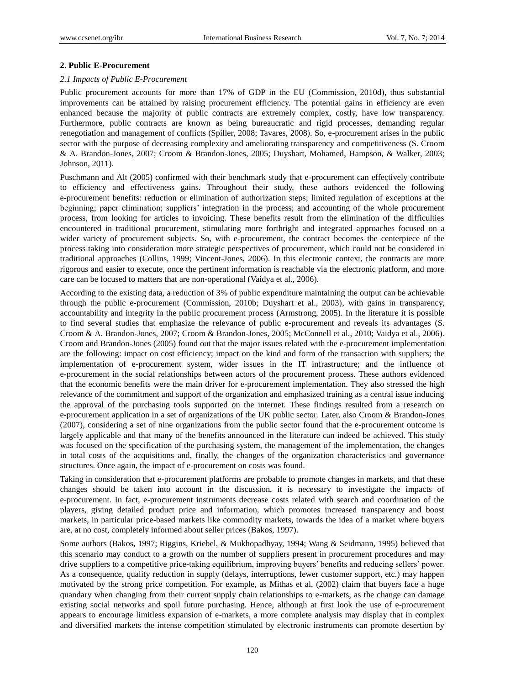#### **2. Public E-Procurement**

#### *2.1 Impacts of Public E-Procurement*

Public procurement accounts for more than 17% of GDP in the EU (Commission, 2010d), thus substantial improvements can be attained by raising procurement efficiency. The potential gains in efficiency are even enhanced because the majority of public contracts are extremely complex, costly, have low transparency. Furthermore, public contracts are known as being bureaucratic and rigid processes, demanding regular renegotiation and management of conflicts (Spiller, 2008; Tavares, 2008). So, e-procurement arises in the public sector with the purpose of decreasing complexity and ameliorating transparency and competitiveness (S. Croom & A. Brandon-Jones, 2007; Croom & Brandon-Jones, 2005; Duyshart, Mohamed, Hampson, & Walker, 2003; Johnson, 2011).

Puschmann and Alt (2005) confirmed with their benchmark study that e-procurement can effectively contribute to efficiency and effectiveness gains. Throughout their study, these authors evidenced the following e-procurement benefits: reduction or elimination of authorization steps; limited regulation of exceptions at the beginning; paper elimination; suppliers" integration in the process; and accounting of the whole procurement process, from looking for articles to invoicing. These benefits result from the elimination of the difficulties encountered in traditional procurement, stimulating more forthright and integrated approaches focused on a wider variety of procurement subjects. So, with e-procurement, the contract becomes the centerpiece of the process taking into consideration more strategic perspectives of procurement, which could not be considered in traditional approaches (Collins, 1999; Vincent-Jones, 2006). In this electronic context, the contracts are more rigorous and easier to execute, once the pertinent information is reachable via the electronic platform, and more care can be focused to matters that are non-operational (Vaidya et al., 2006).

According to the existing data, a reduction of 3% of public expenditure maintaining the output can be achievable through the public e-procurement (Commission, 2010b; Duyshart et al., 2003), with gains in transparency, accountability and integrity in the public procurement process (Armstrong, 2005). In the literature it is possible to find several studies that emphasize the relevance of public e-procurement and reveals its advantages (S. Croom & A. Brandon-Jones, 2007; Croom & Brandon-Jones, 2005; McConnell et al., 2010; Vaidya et al., 2006). Croom and Brandon-Jones (2005) found out that the major issues related with the e-procurement implementation are the following: impact on cost efficiency; impact on the kind and form of the transaction with suppliers; the implementation of e-procurement system, wider issues in the IT infrastructure; and the influence of e-procurement in the social relationships between actors of the procurement process. These authors evidenced that the economic benefits were the main driver for e-procurement implementation. They also stressed the high relevance of the commitment and support of the organization and emphasized training as a central issue inducing the approval of the purchasing tools supported on the internet. These findings resulted from a research on e-procurement application in a set of organizations of the UK public sector. Later, also Croom & Brandon-Jones (2007), considering a set of nine organizations from the public sector found that the e-procurement outcome is largely applicable and that many of the benefits announced in the literature can indeed be achieved. This study was focused on the specification of the purchasing system, the management of the implementation, the changes in total costs of the acquisitions and, finally, the changes of the organization characteristics and governance structures. Once again, the impact of e-procurement on costs was found.

Taking in consideration that e-procurement platforms are probable to promote changes in markets, and that these changes should be taken into account in the discussion, it is necessary to investigate the impacts of e-procurement. In fact, e-procurement instruments decrease costs related with search and coordination of the players, giving detailed product price and information, which promotes increased transparency and boost markets, in particular price-based markets like commodity markets, towards the idea of a market where buyers are, at no cost, completely informed about seller prices (Bakos, 1997).

Some authors (Bakos, 1997; Riggins, Kriebel, & Mukhopadhyay, 1994; Wang & Seidmann, 1995) believed that this scenario may conduct to a growth on the number of suppliers present in procurement procedures and may drive suppliers to a competitive price-taking equilibrium, improving buyers" benefits and reducing sellers" power. As a consequence, quality reduction in supply (delays, interruptions, fewer customer support, etc.) may happen motivated by the strong price competition. For example, as Mithas et al. (2002) claim that buyers face a huge quandary when changing from their current supply chain relationships to e-markets, as the change can damage existing social networks and spoil future purchasing. Hence, although at first look the use of e-procurement appears to encourage limitless expansion of e-markets, a more complete analysis may display that in complex and diversified markets the intense competition stimulated by electronic instruments can promote desertion by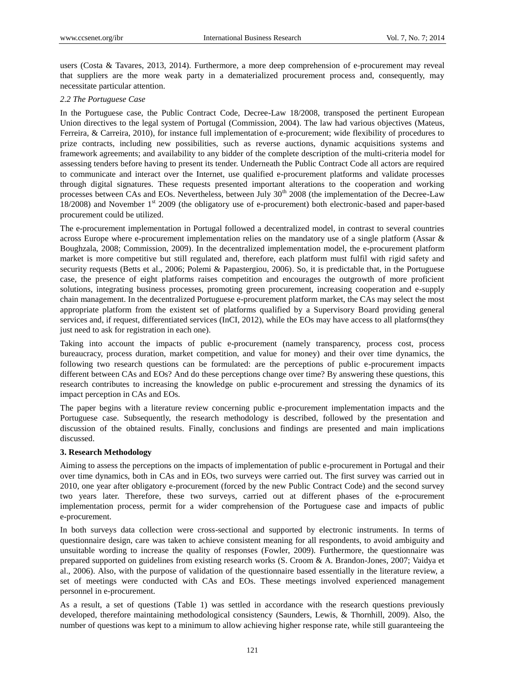users (Costa & Tavares, 2013, 2014). Furthermore, a more deep comprehension of e-procurement may reveal that suppliers are the more weak party in a dematerialized procurement process and, consequently, may necessitate particular attention.

### *2.2 The Portuguese Case*

In the Portuguese case, the Public Contract Code, Decree-Law 18/2008, transposed the pertinent European Union directives to the legal system of Portugal (Commission, 2004). The law had various objectives (Mateus, Ferreira, & Carreira, 2010), for instance full implementation of e-procurement; wide flexibility of procedures to prize contracts, including new possibilities, such as reverse auctions, dynamic acquisitions systems and framework agreements; and availability to any bidder of the complete description of the multi-criteria model for assessing tenders before having to present its tender. Underneath the Public Contract Code all actors are required to communicate and interact over the Internet, use qualified e-procurement platforms and validate processes through digital signatures. These requests presented important alterations to the cooperation and working processes between CAs and EOs. Nevertheless, between July  $30<sup>th</sup>$  2008 (the implementation of the Decree-Law 18/2008) and November 1<sup>st</sup> 2009 (the obligatory use of e-procurement) both electronic-based and paper-based procurement could be utilized.

The e-procurement implementation in Portugal followed a decentralized model, in contrast to several countries across Europe where e-procurement implementation relies on the mandatory use of a single platform (Assar & Boughzala, 2008; Commission, 2009). In the decentralized implementation model, the e-procurement platform market is more competitive but still regulated and, therefore, each platform must fulfil with rigid safety and security requests (Betts et al., 2006; Polemi & Papastergiou, 2006). So, it is predictable that, in the Portuguese case, the presence of eight platforms raises competition and encourages the outgrowth of more proficient solutions, integrating business processes, promoting green procurement, increasing cooperation and e-supply chain management. In the decentralized Portuguese e-procurement platform market, the CAs may select the most appropriate platform from the existent set of platforms qualified by a Supervisory Board providing general services and, if request, differentiated services (InCI, 2012), while the EOs may have access to all platforms(they just need to ask for registration in each one).

Taking into account the impacts of public e-procurement (namely transparency, process cost, process bureaucracy, process duration, market competition, and value for money) and their over time dynamics, the following two research questions can be formulated: are the perceptions of public e-procurement impacts different between CAs and EOs? And do these perceptions change over time? By answering these questions, this research contributes to increasing the knowledge on public e-procurement and stressing the dynamics of its impact perception in CAs and EOs.

The paper begins with a literature review concerning public e-procurement implementation impacts and the Portuguese case. Subsequently, the research methodology is described, followed by the presentation and discussion of the obtained results. Finally, conclusions and findings are presented and main implications discussed.

#### **3. Research Methodology**

Aiming to assess the perceptions on the impacts of implementation of public e-procurement in Portugal and their over time dynamics, both in CAs and in EOs, two surveys were carried out. The first survey was carried out in 2010, one year after obligatory e-procurement (forced by the new Public Contract Code) and the second survey two years later. Therefore, these two surveys, carried out at different phases of the e-procurement implementation process, permit for a wider comprehension of the Portuguese case and impacts of public e-procurement.

In both surveys data collection were cross-sectional and supported by electronic instruments. In terms of questionnaire design, care was taken to achieve consistent meaning for all respondents, to avoid ambiguity and unsuitable wording to increase the quality of responses (Fowler, 2009). Furthermore, the questionnaire was prepared supported on guidelines from existing research works (S. Croom & A. Brandon-Jones, 2007; Vaidya et al., 2006). Also, with the purpose of validation of the questionnaire based essentially in the literature review, a set of meetings were conducted with CAs and EOs. These meetings involved experienced management personnel in e-procurement.

As a result, a set of questions (Table 1) was settled in accordance with the research questions previously developed, therefore maintaining methodological consistency (Saunders, Lewis, & Thornhill, 2009). Also, the number of questions was kept to a minimum to allow achieving higher response rate, while still guaranteeing the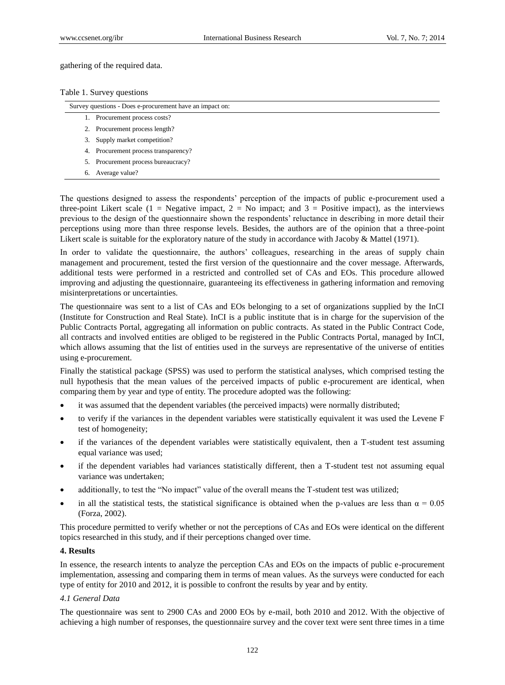gathering of the required data.

|  |  |  | Table 1. Survey questions |
|--|--|--|---------------------------|
|--|--|--|---------------------------|

|    | Survey questions - Does e-procurement have an impact on: |  |  |  |  |
|----|----------------------------------------------------------|--|--|--|--|
| Ι. | Procurement process costs?                               |  |  |  |  |
|    | 2. Procurement process length?                           |  |  |  |  |
| 3. | Supply market competition?                               |  |  |  |  |
|    | 4. Procurement process transparency?                     |  |  |  |  |
|    | 5. Procurement process bureaucracy?                      |  |  |  |  |
| 6. | Average value?                                           |  |  |  |  |

The questions designed to assess the respondents" perception of the impacts of public e-procurement used a three-point Likert scale (1 = Negative impact, 2 = No impact; and 3 = Positive impact), as the interviews previous to the design of the questionnaire shown the respondents" reluctance in describing in more detail their perceptions using more than three response levels. Besides, the authors are of the opinion that a three-point Likert scale is suitable for the exploratory nature of the study in accordance with Jacoby & Mattel (1971).

In order to validate the questionnaire, the authors' colleagues, researching in the areas of supply chain management and procurement, tested the first version of the questionnaire and the cover message. Afterwards, additional tests were performed in a restricted and controlled set of CAs and EOs. This procedure allowed improving and adjusting the questionnaire, guaranteeing its effectiveness in gathering information and removing misinterpretations or uncertainties.

The questionnaire was sent to a list of CAs and EOs belonging to a set of organizations supplied by the InCI (Institute for Construction and Real State). InCI is a public institute that is in charge for the supervision of the Public Contracts Portal, aggregating all information on public contracts. As stated in the Public Contract Code, all contracts and involved entities are obliged to be registered in the Public Contracts Portal, managed by InCI, which allows assuming that the list of entities used in the surveys are representative of the universe of entities using e-procurement.

Finally the statistical package (SPSS) was used to perform the statistical analyses, which comprised testing the null hypothesis that the mean values of the perceived impacts of public e-procurement are identical, when comparing them by year and type of entity. The procedure adopted was the following:

- it was assumed that the dependent variables (the perceived impacts) were normally distributed;
- to verify if the variances in the dependent variables were statistically equivalent it was used the Levene F test of homogeneity;
- if the variances of the dependent variables were statistically equivalent, then a T-student test assuming equal variance was used;
- if the dependent variables had variances statistically different, then a T-student test not assuming equal variance was undertaken;
- additionally, to test the "No impact" value of the overall means the T-student test was utilized;
- in all the statistical tests, the statistical significance is obtained when the p-values are less than  $\alpha = 0.05$ (Forza, 2002).

This procedure permitted to verify whether or not the perceptions of CAs and EOs were identical on the different topics researched in this study, and if their perceptions changed over time.

# **4. Results**

In essence, the research intents to analyze the perception CAs and EOs on the impacts of public e-procurement implementation, assessing and comparing them in terms of mean values. As the surveys were conducted for each type of entity for 2010 and 2012, it is possible to confront the results by year and by entity.

# *4.1 General Data*

The questionnaire was sent to 2900 CAs and 2000 EOs by e-mail, both 2010 and 2012. With the objective of achieving a high number of responses, the questionnaire survey and the cover text were sent three times in a time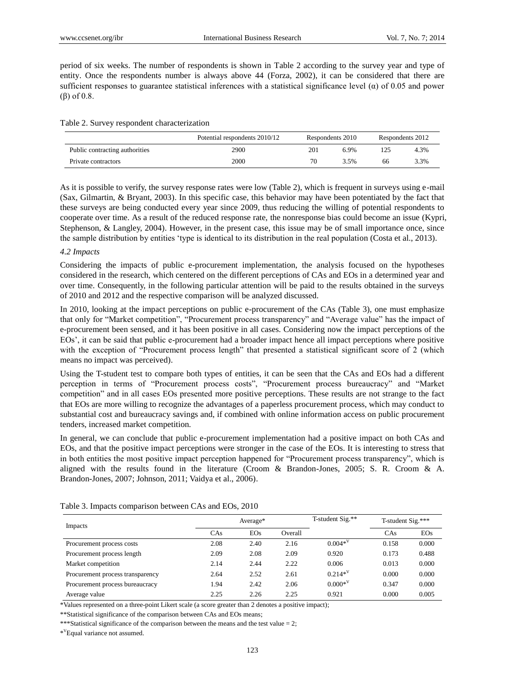period of six weeks. The number of respondents is shown in Table 2 according to the survey year and type of entity. Once the respondents number is always above 44 (Forza, 2002), it can be considered that there are sufficient responses to guarantee statistical inferences with a statistical significance level ( $\alpha$ ) of 0.05 and power (β) of 0.8.

# Table 2. Survey respondent characterization

|                                | Potential respondents 2010/12 | Respondents 2010 |      | Respondents 2012 |      |
|--------------------------------|-------------------------------|------------------|------|------------------|------|
| Public contracting authorities | 2900                          | 201              | 6.9% |                  | 4.3% |
| Private contractors            | 2000                          | 70               | 3.5% | 66               | 3.3% |

As it is possible to verify, the survey response rates were low (Table 2), which is frequent in surveys using e-mail (Sax, Gilmartin, & Bryant, 2003). In this specific case, this behavior may have been potentiated by the fact that these surveys are being conducted every year since 2009, thus reducing the willing of potential respondents to cooperate over time. As a result of the reduced response rate, the nonresponse bias could become an issue (Kypri, Stephenson, & Langley, 2004). However, in the present case, this issue may be of small importance once, since the sample distribution by entities "type is identical to its distribution in the real population (Costa et al., 2013).

# *4.2 Impacts*

Considering the impacts of public e-procurement implementation, the analysis focused on the hypotheses considered in the research, which centered on the different perceptions of CAs and EOs in a determined year and over time. Consequently, in the following particular attention will be paid to the results obtained in the surveys of 2010 and 2012 and the respective comparison will be analyzed discussed.

In 2010, looking at the impact perceptions on public e-procurement of the CAs (Table 3), one must emphasize that only for "Market competition", "Procurement process transparency" and "Average value" has the impact of e-procurement been sensed, and it has been positive in all cases. Considering now the impact perceptions of the EOs", it can be said that public e-procurement had a broader impact hence all impact perceptions where positive with the exception of "Procurement process length" that presented a statistical significant score of 2 (which means no impact was perceived).

Using the T-student test to compare both types of entities, it can be seen that the CAs and EOs had a different perception in terms of "Procurement process costs", "Procurement process bureaucracy" and "Market competition" and in all cases EOs presented more positive perceptions. These results are not strange to the fact that EOs are more willing to recognize the advantages of a paperless procurement process, which may conduct to substantial cost and bureaucracy savings and, if combined with online information access on public procurement tenders, increased market competition.

In general, we can conclude that public e-procurement implementation had a positive impact on both CAs and EOs, and that the positive impact perceptions were stronger in the case of the EOs. It is interesting to stress that in both entities the most positive impact perception happened for "Procurement process transparency", which is aligned with the results found in the literature (Croom & Brandon-Jones, 2005; S. R. Croom & A. Brandon-Jones, 2007; Johnson, 2011; Vaidya et al., 2006).

| Impacts                          | Average <sup>*</sup> |      |         | T-student Sig.** | T-student Sig.*** |            |
|----------------------------------|----------------------|------|---------|------------------|-------------------|------------|
|                                  | CAs                  | EOs  | Overall |                  | CAs               | <b>EOs</b> |
| Procurement process costs        | 2.08                 | 2.40 | 2.16    | $0.004*V$        | 0.158             | 0.000      |
| Procurement process length       | 2.09                 | 2.08 | 2.09    | 0.920            | 0.173             | 0.488      |
| Market competition               | 2.14                 | 2.44 | 2.22    | 0.006            | 0.013             | 0.000      |
| Procurement process transparency | 2.64                 | 2.52 | 2.61    | $0.214*V$        | 0.000             | 0.000      |
| Procurement process bureaucracy  | 1.94                 | 2.42 | 2.06    | $0.000*V$        | 0.347             | 0.000      |
| Average value                    | 2.25                 | 2.26 | 2.25    | 0.921            | 0.000             | 0.005      |

Table 3. Impacts comparison between CAs and EOs, 2010

\*Values represented on a three-point Likert scale (a score greater than 2 denotes a positive impact);

\*\*Statistical significance of the comparison between CAs and EOs means;

\*\*\*Statistical significance of the comparison between the means and the test value  $= 2$ ;

\* <sup>V</sup>Equal variance not assumed.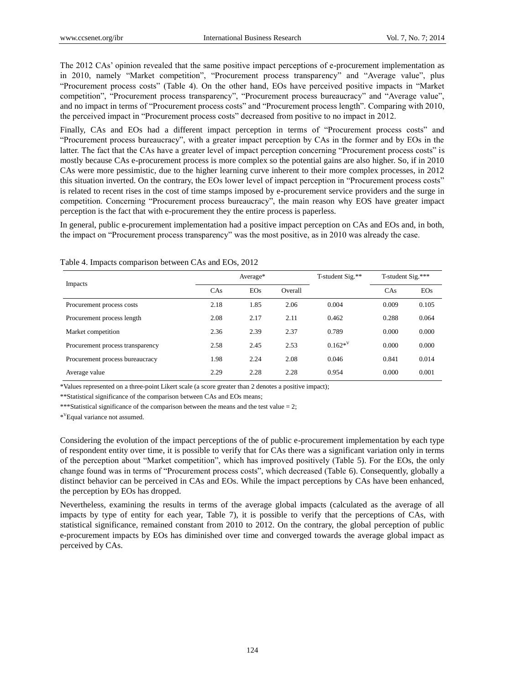The 2012 CAs" opinion revealed that the same positive impact perceptions of e-procurement implementation as in 2010, namely "Market competition", "Procurement process transparency" and "Average value", plus "Procurement process costs" (Table 4). On the other hand, EOs have perceived positive impacts in "Market competition", "Procurement process transparency", "Procurement process bureaucracy" and "Average value", and no impact in terms of "Procurement process costs" and "Procurement process length". Comparing with 2010, the perceived impact in "Procurement process costs" decreased from positive to no impact in 2012.

Finally, CAs and EOs had a different impact perception in terms of "Procurement process costs" and "Procurement process bureaucracy", with a greater impact perception by CAs in the former and by EOs in the latter. The fact that the CAs have a greater level of impact perception concerning "Procurement process costs" is mostly because CAs e-procurement process is more complex so the potential gains are also higher. So, if in 2010 CAs were more pessimistic, due to the higher learning curve inherent to their more complex processes, in 2012 this situation inverted. On the contrary, the EOs lower level of impact perception in "Procurement process costs" is related to recent rises in the cost of time stamps imposed by e-procurement service providers and the surge in competition. Concerning "Procurement process bureaucracy", the main reason why EOS have greater impact perception is the fact that with e-procurement they the entire process is paperless.

In general, public e-procurement implementation had a positive impact perception on CAs and EOs and, in both, the impact on "Procurement process transparency" was the most positive, as in 2010 was already the case.

|                                  | Average* |            |         | T-student Sig.** | T-student Sig.*** |            |
|----------------------------------|----------|------------|---------|------------------|-------------------|------------|
| Impacts                          | CAs      | <b>EOs</b> | Overall |                  | CAs               | <b>EOs</b> |
| Procurement process costs        | 2.18     | 1.85       | 2.06    | 0.004            | 0.009             | 0.105      |
| Procurement process length       | 2.08     | 2.17       | 2.11    | 0.462            | 0.288             | 0.064      |
| Market competition               | 2.36     | 2.39       | 2.37    | 0.789            | 0.000             | 0.000      |
| Procurement process transparency | 2.58     | 2.45       | 2.53    | $0.162*V$        | 0.000             | 0.000      |
| Procurement process bureaucracy  | 1.98     | 2.24       | 2.08    | 0.046            | 0.841             | 0.014      |
| Average value                    | 2.29     | 2.28       | 2.28    | 0.954            | 0.000             | 0.001      |

Table 4. Impacts comparison between CAs and EOs, 2012

\*Values represented on a three-point Likert scale (a score greater than 2 denotes a positive impact);

\*\*Statistical significance of the comparison between CAs and EOs means;

\*\*\*Statistical significance of the comparison between the means and the test value  $= 2$ ;

\* <sup>V</sup>Equal variance not assumed.

Considering the evolution of the impact perceptions of the of public e-procurement implementation by each type of respondent entity over time, it is possible to verify that for CAs there was a significant variation only in terms of the perception about "Market competition", which has improved positively (Table 5). For the EOs, the only change found was in terms of "Procurement process costs", which decreased (Table 6). Consequently, globally a distinct behavior can be perceived in CAs and EOs. While the impact perceptions by CAs have been enhanced, the perception by EOs has dropped.

Nevertheless, examining the results in terms of the average global impacts (calculated as the average of all impacts by type of entity for each year, Table 7), it is possible to verify that the perceptions of CAs, with statistical significance, remained constant from 2010 to 2012. On the contrary, the global perception of public e-procurement impacts by EOs has diminished over time and converged towards the average global impact as perceived by CAs.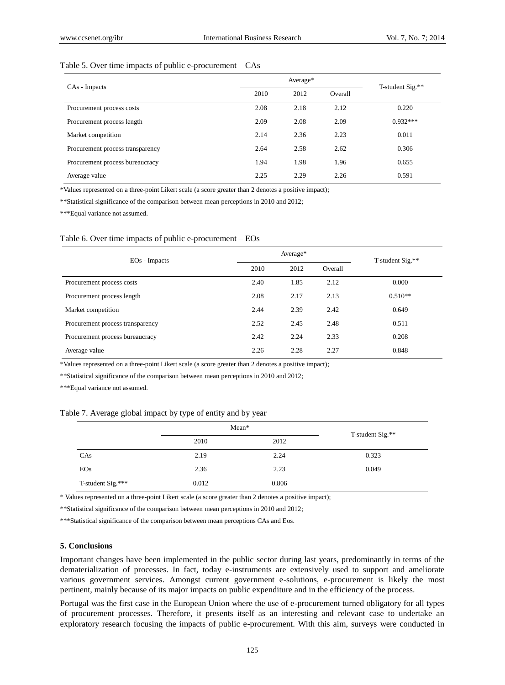## Table 5. Over time impacts of public e-procurement – CAs

| CAs - Impacts                    | Average* |      |         |                  |  |
|----------------------------------|----------|------|---------|------------------|--|
|                                  | 2010     | 2012 | Overall | T-student Sig.** |  |
| Procurement process costs        | 2.08     | 2.18 | 2.12    | 0.220            |  |
| Procurement process length       | 2.09     | 2.08 | 2.09    | $0.932***$       |  |
| Market competition               | 2.14     | 2.36 | 2.23    | 0.011            |  |
| Procurement process transparency | 2.64     | 2.58 | 2.62    | 0.306            |  |
| Procurement process bureaucracy  | 1.94     | 1.98 | 1.96    | 0.655            |  |
| Average value                    | 2.25     | 2.29 | 2.26    | 0.591            |  |

\*Values represented on a three-point Likert scale (a score greater than 2 denotes a positive impact);

\*\*Statistical significance of the comparison between mean perceptions in 2010 and 2012;

\*\*\*Equal variance not assumed.

#### Table 6. Over time impacts of public e-procurement – EOs

| EO <sub>s</sub> - Impacts        |      | T-student Sig.** |         |           |
|----------------------------------|------|------------------|---------|-----------|
|                                  | 2010 | 2012             | Overall |           |
| Procurement process costs        | 2.40 | 1.85             | 2.12    | 0.000     |
| Procurement process length       | 2.08 | 2.17             | 2.13    | $0.510**$ |
| Market competition               | 2.44 | 2.39             | 2.42    | 0.649     |
| Procurement process transparency | 2.52 | 2.45             | 2.48    | 0.511     |
| Procurement process bureaucracy  | 2.42 | 2.24             | 2.33    | 0.208     |
| Average value                    | 2.26 | 2.28             | 2.27    | 0.848     |

\*Values represented on a three-point Likert scale (a score greater than 2 denotes a positive impact);

\*\*Statistical significance of the comparison between mean perceptions in 2010 and 2012;

\*\*\*Equal variance not assumed.

| Table 7. Average global impact by type of entity and by year |  |  |  |  |
|--------------------------------------------------------------|--|--|--|--|
|                                                              |  |  |  |  |

|                   |       | Mean* |                  |  |  |
|-------------------|-------|-------|------------------|--|--|
|                   | 2010  | 2012  | T-student Sig.** |  |  |
| CAs               | 2.19  | 2.24  | 0.323            |  |  |
| <b>EOs</b>        | 2.36  | 2.23  | 0.049            |  |  |
| T-student Sig.*** | 0.012 | 0.806 |                  |  |  |

\* Values represented on a three-point Likert scale (a score greater than 2 denotes a positive impact);

\*\*Statistical significance of the comparison between mean perceptions in 2010 and 2012;

\*\*\*Statistical significance of the comparison between mean perceptions CAs and Eos.

#### **5. Conclusions**

Important changes have been implemented in the public sector during last years, predominantly in terms of the dematerialization of processes. In fact, today e-instruments are extensively used to support and ameliorate various government services. Amongst current government e-solutions, e-procurement is likely the most pertinent, mainly because of its major impacts on public expenditure and in the efficiency of the process.

Portugal was the first case in the European Union where the use of e-procurement turned obligatory for all types of procurement processes. Therefore, it presents itself as an interesting and relevant case to undertake an exploratory research focusing the impacts of public e-procurement. With this aim, surveys were conducted in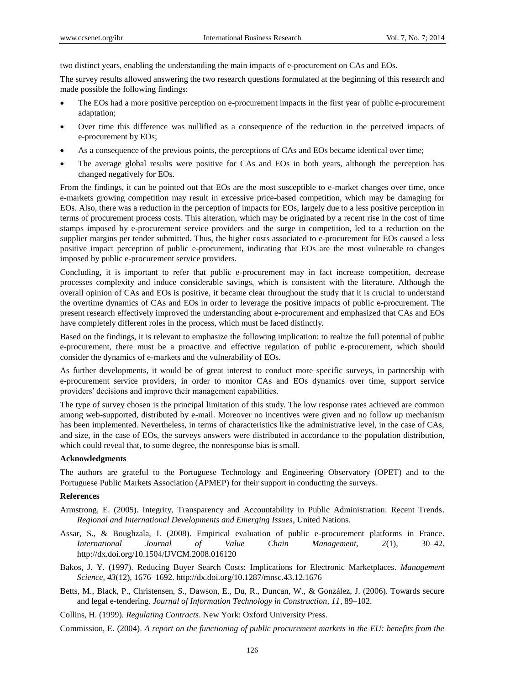two distinct years, enabling the understanding the main impacts of e-procurement on CAs and EOs.

The survey results allowed answering the two research questions formulated at the beginning of this research and made possible the following findings:

- The EOs had a more positive perception on e-procurement impacts in the first year of public e-procurement adaptation;
- Over time this difference was nullified as a consequence of the reduction in the perceived impacts of e-procurement by EOs;
- As a consequence of the previous points, the perceptions of CAs and EOs became identical over time;
- The average global results were positive for CAs and EOs in both years, although the perception has changed negatively for EOs.

From the findings, it can be pointed out that EOs are the most susceptible to e-market changes over time, once e-markets growing competition may result in excessive price-based competition, which may be damaging for EOs. Also, there was a reduction in the perception of impacts for EOs, largely due to a less positive perception in terms of procurement process costs. This alteration, which may be originated by a recent rise in the cost of time stamps imposed by e-procurement service providers and the surge in competition, led to a reduction on the supplier margins per tender submitted. Thus, the higher costs associated to e-procurement for EOs caused a less positive impact perception of public e-procurement, indicating that EOs are the most vulnerable to changes imposed by public e-procurement service providers.

Concluding, it is important to refer that public e-procurement may in fact increase competition, decrease processes complexity and induce considerable savings, which is consistent with the literature. Although the overall opinion of CAs and EOs is positive, it became clear throughout the study that it is crucial to understand the overtime dynamics of CAs and EOs in order to leverage the positive impacts of public e-procurement. The present research effectively improved the understanding about e-procurement and emphasized that CAs and EOs have completely different roles in the process, which must be faced distinctly.

Based on the findings, it is relevant to emphasize the following implication: to realize the full potential of public e-procurement, there must be a proactive and effective regulation of public e-procurement, which should consider the dynamics of e-markets and the vulnerability of EOs.

As further developments, it would be of great interest to conduct more specific surveys, in partnership with e-procurement service providers, in order to monitor CAs and EOs dynamics over time, support service providers" decisions and improve their management capabilities.

The type of survey chosen is the principal limitation of this study. The low response rates achieved are common among web-supported, distributed by e-mail. Moreover no incentives were given and no follow up mechanism has been implemented. Nevertheless, in terms of characteristics like the administrative level, in the case of CAs, and size, in the case of EOs, the surveys answers were distributed in accordance to the population distribution, which could reveal that, to some degree, the nonresponse bias is small.

## **Acknowledgments**

The authors are grateful to the Portuguese Technology and Engineering Observatory (OPET) and to the Portuguese Public Markets Association (APMEP) for their support in conducting the surveys.

#### **References**

- Armstrong, E. (2005). Integrity, Transparency and Accountability in Public Administration: Recent Trends. *Regional and International Developments and Emerging Issues*, United Nations.
- Assar, S., & Boughzala, I. (2008). Empirical evaluation of public e-procurement platforms in France. *International Journal of Value Chain Management, 2*(1), 30–42. http://dx.doi.org/10.1504/IJVCM.2008.016120
- Bakos, J. Y. (1997). Reducing Buyer Search Costs: Implications for Electronic Marketplaces. *Management Science, 43*(12), 1676–1692. http://dx.doi.org/10.1287/mnsc.43.12.1676
- Betts, M., Black, P., Christensen, S., Dawson, E., Du, R., Duncan, W., & González, J. (2006). Towards secure and legal e-tendering. *Journal of Information Technology in Construction, 11*, 89–102.

Collins, H. (1999). *Regulating Contracts*. New York: Oxford University Press.

Commission, E. (2004). *A report on the functioning of public procurement markets in the EU: benefits from the*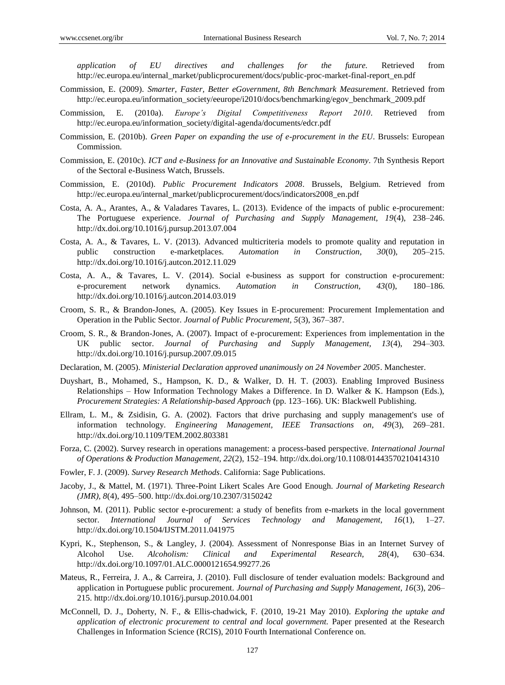*application of EU directives and challenges for the future.* Retrieved from http://ec.europa.eu/internal\_market/publicprocurement/docs/public-proc-market-final-report\_en.pdf

- Commission, E. (2009). *Smarter, Faster, Better eGovernment, 8th Benchmark Measurement*. Retrieved from http://ec.europa.eu/information\_society/eeurope/i2010/docs/benchmarking/egov\_benchmark\_2009.pdf
- Commission, E. (2010a). *Europe's Digital Competitiveness Report 2010*. Retrieved from http://ec.europa.eu/information\_society/digital-agenda/documents/edcr.pdf
- Commission, E. (2010b). *Green Paper on expanding the use of e-procurement in the EU*. Brussels: European Commission.
- Commission, E. (2010c). *ICT and e-Business for an Innovative and Sustainable Economy*. 7th Synthesis Report of the Sectoral e-Business Watch, Brussels.
- Commission, E. (2010d). *Public Procurement Indicators 2008*. Brussels, Belgium. Retrieved from http://ec.europa.eu/internal\_market/publicprocurement/docs/indicators2008\_en.pdf
- Costa, A. A., Arantes, A., & Valadares Tavares, L. (2013). Evidence of the impacts of public e-procurement: The Portuguese experience. *Journal of Purchasing and Supply Management, 19*(4), 238–246. http://dx.doi.org/10.1016/j.pursup.2013.07.004
- Costa, A. A., & Tavares, L. V. (2013). Advanced multicriteria models to promote quality and reputation in public construction e-marketplaces. *Automation in Construction, 30*(0), 205–215. http://dx.doi.org/10.1016/j.autcon.2012.11.029
- Costa, A. A., & Tavares, L. V. (2014). Social e-business as support for construction e-procurement: e-procurement network dynamics. *Automation in Construction, 43*(0), 180–186. http://dx.doi.org/10.1016/j.autcon.2014.03.019
- Croom, S. R., & Brandon-Jones, A. (2005). Key Issues in E-procurement: Procurement Implementation and Operation in the Public Sector. *Journal of Public Procurement, 5*(3), 367–387.
- Croom, S. R., & Brandon-Jones, A. (2007). Impact of e-procurement: Experiences from implementation in the UK public sector. *Journal of Purchasing and Supply Management, 13*(4), 294–303. http://dx.doi.org/10.1016/j.pursup.2007.09.015
- Declaration, M. (2005). *Ministerial Declaration approved unanimously on 24 November 2005*. Manchester.
- Duyshart, B., Mohamed, S., Hampson, K. D., & Walker, D. H. T. (2003). Enabling Improved Business Relationships – How Information Technology Makes a Difference. In D. Walker & K. Hampson (Eds.), *Procurement Strategies: A Relationship-based Approach* (pp. 123–166). UK: Blackwell Publishing.
- Ellram, L. M., & Zsidisin, G. A. (2002). Factors that drive purchasing and supply management's use of information technology. *Engineering Management, IEEE Transactions on, 49*(3), 269–281. http://dx.doi.org/10.1109/TEM.2002.803381
- Forza, C. (2002). Survey research in operations management: a process-based perspective. *International Journal of Operations & Production Management, 22*(2), 152–194. http://dx.doi.org/10.1108/01443570210414310
- Fowler, F. J. (2009). *Survey Research Methods*. California: Sage Publications.
- Jacoby, J., & Mattel, M. (1971). Three-Point Likert Scales Are Good Enough. *Journal of Marketing Research (JMR), 8*(4), 495–500. http://dx.doi.org/10.2307/3150242
- Johnson, M. (2011). Public sector e-procurement: a study of benefits from e-markets in the local government sector. *International Journal of Services Technology and Management, 16*(1), 1–27. http://dx.doi.org/10.1504/IJSTM.2011.041975
- Kypri, K., Stephenson, S., & Langley, J. (2004). Assessment of Nonresponse Bias in an Internet Survey of Alcohol Use. *Alcoholism: Clinical and Experimental Research, 28*(4), 630–634. http://dx.doi.org/10.1097/01.ALC.0000121654.99277.26
- Mateus, R., Ferreira, J. A., & Carreira, J. (2010). Full disclosure of tender evaluation models: Background and application in Portuguese public procurement. *Journal of Purchasing and Supply Management, 16*(3), 206– 215. http://dx.doi.org/10.1016/j.pursup.2010.04.001
- McConnell, D. J., Doherty, N. F., & Ellis-chadwick, F. (2010, 19-21 May 2010). *Exploring the uptake and application of electronic procurement to central and local government.* Paper presented at the Research Challenges in Information Science (RCIS), 2010 Fourth International Conference on.